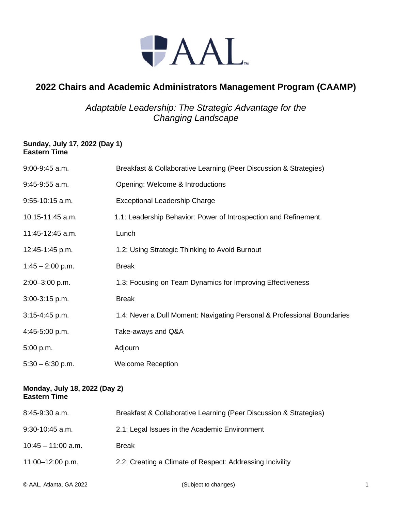

## **2022 Chairs and Academic Administrators Management Program (CAAMP)**

*Adaptable Leadership: The Strategic Advantage for the Changing Landscape*

## **Sunday, July 17, 2022 (Day 1) Eastern Time**

| $9:00-9:45$ a.m.   | Breakfast & Collaborative Learning (Peer Discussion & Strategies)       |
|--------------------|-------------------------------------------------------------------------|
| $9:45-9:55$ a.m.   | Opening: Welcome & Introductions                                        |
| $9:55-10:15$ a.m.  | <b>Exceptional Leadership Charge</b>                                    |
| 10:15-11:45 a.m.   | 1.1: Leadership Behavior: Power of Introspection and Refinement.        |
| 11:45-12:45 a.m.   | Lunch                                                                   |
| 12:45-1:45 p.m.    | 1.2: Using Strategic Thinking to Avoid Burnout                          |
| $1:45 - 2:00$ p.m. | <b>Break</b>                                                            |
| 2:00-3:00 p.m.     | 1.3: Focusing on Team Dynamics for Improving Effectiveness              |
| $3:00-3:15$ p.m.   | <b>Break</b>                                                            |
| $3:15-4:45$ p.m.   | 1.4: Never a Dull Moment: Navigating Personal & Professional Boundaries |
| 4:45-5:00 p.m.     | Take-aways and Q&A                                                      |
| 5:00 p.m.          | Adjourn                                                                 |
| $5:30 - 6:30$ p.m. | <b>Welcome Reception</b>                                                |

## **Monday, July 18, 2022 (Day 2) Eastern Time**

| $8:45-9:30$ a.m.     | Breakfast & Collaborative Learning (Peer Discussion & Strategies) |
|----------------------|-------------------------------------------------------------------|
| $9:30-10:45$ a.m.    | 2.1: Legal Issues in the Academic Environment                     |
| $10:45 - 11:00$ a.m. | Break                                                             |
| $11:00 - 12:00$ p.m. | 2.2: Creating a Climate of Respect: Addressing Incivility         |
|                      |                                                                   |